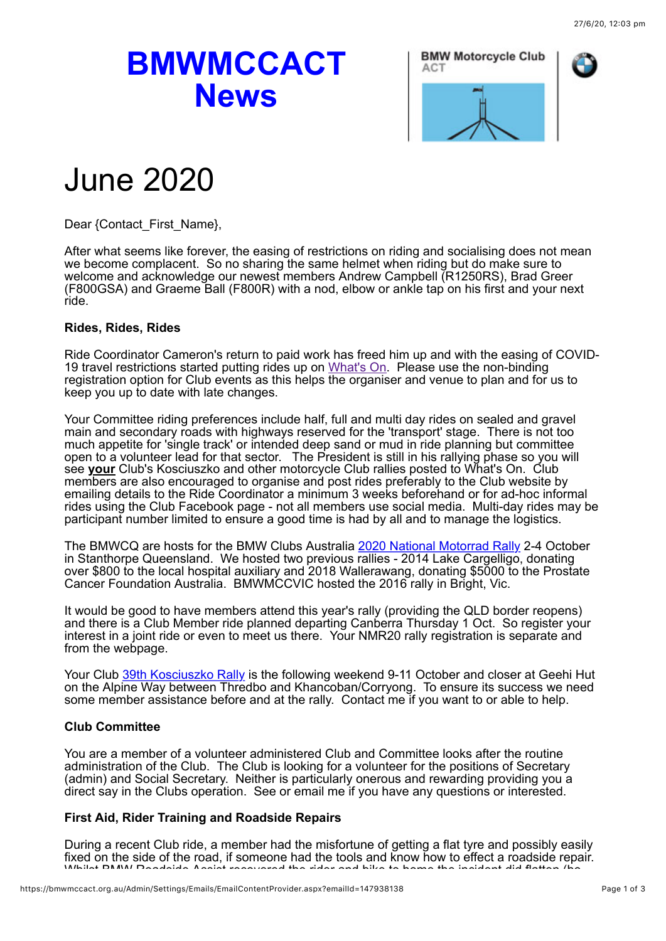# **BMWMCCACT News**





# June 2020

Dear {Contact\_First\_Name},

After what seems like forever, the easing of restrictions on riding and socialising does not mean we become complacent. So no sharing the same helmet when riding but do make sure to welcome and acknowledge our newest members Andrew Campbell (R1250RS), Brad Greer (F800GSA) and Graeme Ball (F800R) with a nod, elbow or ankle tap on his first and your next ride.

#### **Rides, Rides, Rides**

Ride Coordinator Cameron's return to paid work has freed him up and with the easing of COVID-19 travel restrictions started putting rides up on [What's On.](https://bmwmccact.org.au/page-1419638) Please use the non-binding registration option for Club events as this helps the organiser and venue to plan and for us to keep you up to date with late changes.

Your Committee riding preferences include half, full and multi day rides on sealed and gravel main and secondary roads with highways reserved for the 'transport' stage. There is not too much appetite for 'single track' or intended deep sand or mud in ride planning but committee open to a volunteer lead for that sector. The President is still in his rallying phase so you will see **your** Club's Kosciuszko and other motorcycle Club rallies posted to What's On. Club members are also encouraged to organise and post rides preferably to the Club website by emailing details to the Ride Coordinator a minimum 3 weeks beforehand or for ad-hoc informal rides using the Club Facebook page - not all members use social media. Multi-day rides may be participant number limited to ensure a good time is had by all and to manage the logistics.

The BMWCQ are hosts for the BMW Clubs Australia [2020 National Motorrad Rally](https://bmwmccact.org.au/event-2460611) 2-4 October in Stanthorpe Queensland. We hosted two previous rallies - 2014 Lake Cargelligo, donating over \$800 to the local hospital auxiliary and 2018 Wallerawang, donating \$5000 to the Prostate Cancer Foundation Australia. BMWMCCVIC hosted the 2016 rally in Bright, Vic.

It would be good to have members attend this year's rally (providing the QLD border reopens) and there is a Club Member ride planned departing Canberra Thursday 1 Oct. So register your interest in a joint ride or even to meet us there. Your NMR20 rally registration is separate and from the webpage.

Your Club [39th Kosciuszko Rally](https://bmwmccact.org.au/page-1428503) is the following weekend 9-11 October and closer at Geehi Hut on the Alpine Way between Thredbo and Khancoban/Corryong. To ensure its success we need some member assistance before and at the rally. Contact me if you want to or able to help.

### **Club Committee**

You are a member of a volunteer administered Club and Committee looks after the routine administration of the Club. The Club is looking for a volunteer for the positions of Secretary (admin) and Social Secretary. Neither is particularly onerous and rewarding providing you a direct say in the Clubs operation. See or email me if you have any questions or interested.

### **First Aid, Rider Training and Roadside Repairs**

During a recent Club ride, a member had the misfortune of getting a flat tyre and possibly easily fixed on the side of the road, if someone had the tools and know how to effect a roadside repair. Whilst BMW Roadside Assist recovered the rider and bike to home the incident did flatten (ho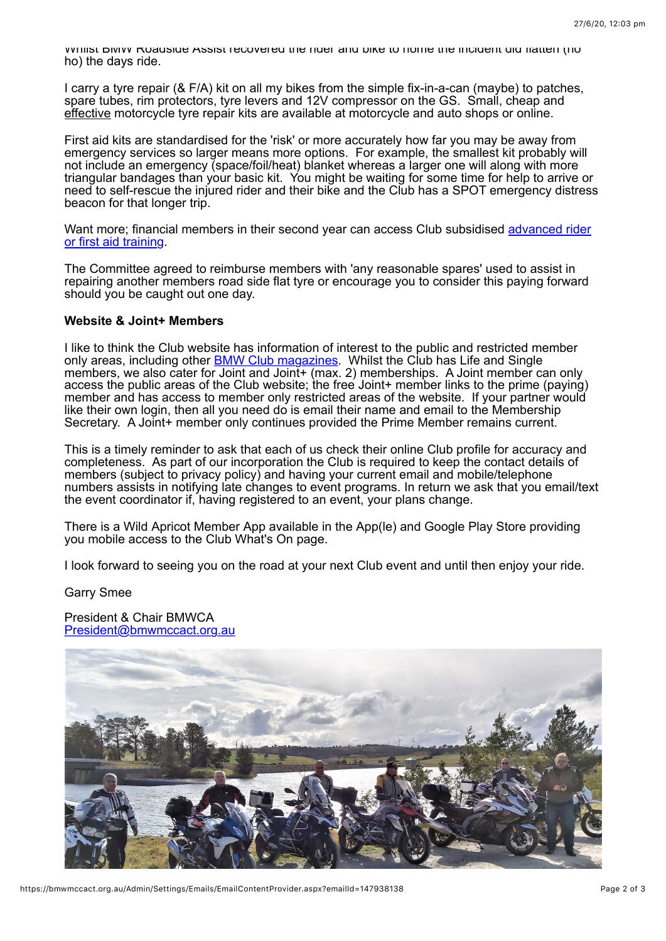Whilst BMW Roadside Assist recovered the rider and bike to home the incident did flatten (ho ho) the days ride.

I carry a tyre repair (& F/A) kit on all my bikes from the simple fix-in-a-can (maybe) to patches, spare tubes, rim protectors, tyre levers and 12V compressor on the GS. Small, cheap and effective motorcycle tyre repair kits are available at motorcycle and auto shops or online.

First aid kits are standardised for the 'risk' or more accurately how far you may be away from emergency services so larger means more options. For example, the smallest kit probably will not include an emergency (space/foil/heat) blanket whereas a larger one will along with more triangular bandages than your basic kit. You might be waiting for some time for help to arrive or need to self-rescue the injured rider and their bike and the Club has a SPOT emergency distress beacon for that longer trip.

[Want more; financial members in their second year can access Club subsidised advanced rider](https://bmwmccact.org.au/Member-Rider-Training) or first aid training.

The Committee agreed to reimburse members with 'any reasonable spares' used to assist in repairing another members road side flat tyre or encourage you to consider this paying forward should you be caught out one day.

#### **Website & Joint+ Members**

I like to think the Club website has information of interest to the public and restricted member only areas, including other **BMW Club magazines**. Whilst the Club has Life and Single members, we also cater for Joint and Joint+ (max. 2) memberships. A Joint member can only access the public areas of the Club website; the free Joint+ member links to the prime (paying) member and has access to member only restricted areas of the website. If your partner would like their own login, then all you need do is email their name and email to the Membership Secretary. A Joint+ member only continues provided the Prime Member remains current.

This is a timely reminder to ask that each of us check their online Club profile for accuracy and completeness. As part of our incorporation the Club is required to keep the contact details of members (subject to privacy policy) and having your current email and mobile/telephone numbers assists in notifying late changes to event programs. In return we ask that you email/text the event coordinator if, having registered to an event, your plans change.

There is a Wild Apricot Member App available in the App(le) and Google Play Store providing you mobile access to the Club What's On page.

I look forward to seeing you on the road at your next Club event and until then enjoy your ride.

Garry Smee

President & Chair BMWCA [President@bmwmccact.org.au](mailto:President@bmwmccact.org.au)